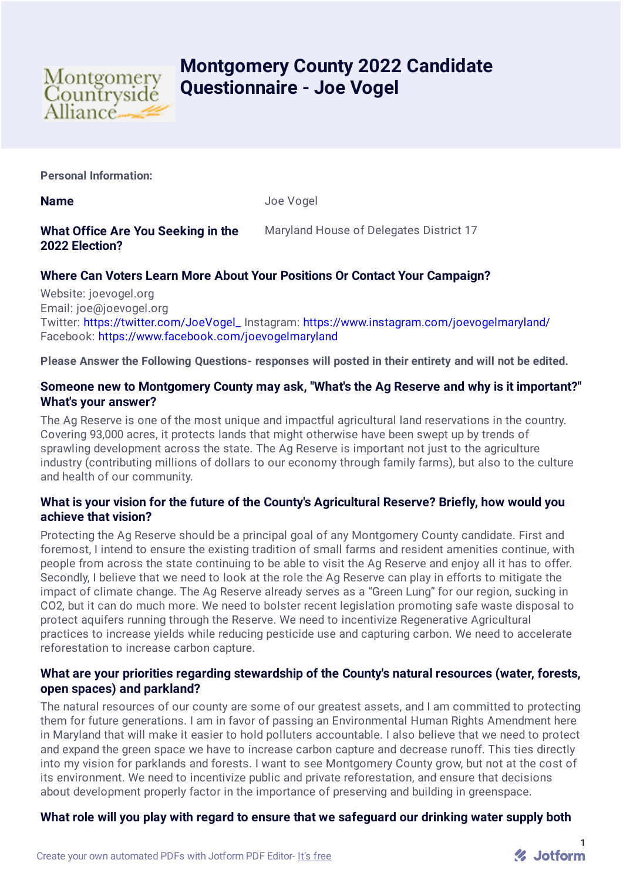

# **Montgomery County 2022 Candidate Questionnaire - Joe Vogel**

**Personal Information:**

**Name** Joe Vogel

## **What Office Are You Seeking in the 2022 Election?**

Maryland House of Delegates District 17

# **Where Can Voters Learn More About Your Positions Or Contact Your Campaign?**

Website: joevogel.org Email: joe@joevogel.org Twitter: [https://twitter.com/JoeVogel\\_](https://twitter.com/JoeVogel_) Instagram: <https://www.instagram.com/joevogelmaryland/> Facebook: <https://www.facebook.com/joevogelmaryland>

**Please Answer the Following Questions- responses will posted in their entirety and will not be edited.**

## **Someone new to Montgomery County may ask, "What's the Ag Reserve and why is it important?" What's your answer?**

The Ag Reserve is one of the most unique and impactful agricultural land reservations in the country. Covering 93,000 acres, it protects lands that might otherwise have been swept up by trends of sprawling development across the state. The Ag Reserve is important not just to the agriculture industry (contributing millions of dollars to our economy through family farms), but also to the culture and health of our community.

## **What is your vision for the future of the County's Agricultural Reserve? Briefly, how would you achieve that vision?**

Protecting the Ag Reserve should be a principal goal of any Montgomery County candidate. First and foremost, I intend to ensure the existing tradition of small farms and resident amenities continue, with people from across the state continuing to be able to visit the Ag Reserve and enjoy all it has to offer. Secondly, I believe that we need to look at the role the Ag Reserve can play in efforts to mitigate the impact of climate change. The Ag Reserve already serves as a "Green Lung" for our region, sucking in CO2, but it can do much more. We need to bolster recent legislation promoting safe waste disposal to protect aquifers running through the Reserve. We need to incentivize Regenerative Agricultural practices to increase yields while reducing pesticide use and capturing carbon. We need to accelerate reforestation to increase carbon capture.

## **What are your priorities regarding stewardship of the County's natural resources (water, forests, open spaces) and parkland?**

The natural resources of our county are some of our greatest assets, and I am committed to protecting them for future generations. I am in favor of passing an Environmental Human Rights Amendment here in Maryland that will make it easier to hold polluters accountable. I also believe that we need to protect and expand the green space we have to increase carbon capture and decrease runoff. This ties directly into my vision for parklands and forests. I want to see Montgomery County grow, but not at the cost of its environment. We need to incentivize public and private reforestation, and ensure that decisions about development properly factor in the importance of preserving and building in greenspace.

## **What role will you play with regard to ensure that we safeguard our drinking water supply both**

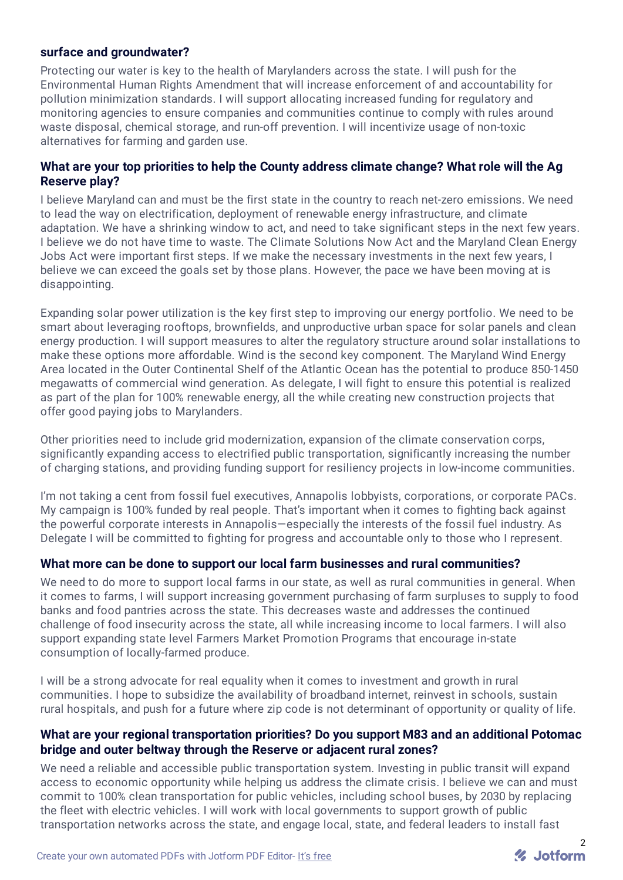#### **surface and groundwater?**

Protecting our water is key to the health of Marylanders across the state. I will push for the Environmental Human Rights Amendment that will increase enforcement of and accountability for pollution minimization standards. I will support allocating increased funding for regulatory and monitoring agencies to ensure companies and communities continue to comply with rules around waste disposal, chemical storage, and run-off prevention. I will incentivize usage of non-toxic alternatives for farming and garden use.

#### **What are your top priorities to help the County address climate change? What role will the Ag Reserve play?**

I believe Maryland can and must be the first state in the country to reach net-zero emissions. We need to lead the way on electrification, deployment of renewable energy infrastructure, and climate adaptation. We have a shrinking window to act, and need to take significant steps in the next few years. I believe we do not have time to waste. The Climate Solutions Now Act and the Maryland Clean Energy Jobs Act were important first steps. If we make the necessary investments in the next few years, I believe we can exceed the goals set by those plans. However, the pace we have been moving at is disappointing.

Expanding solar power utilization is the key first step to improving our energy portfolio. We need to be smart about leveraging rooftops, brownfields, and unproductive urban space for solar panels and clean energy production. I will support measures to alter the regulatory structure around solar installations to make these options more affordable. Wind is the second key component. The Maryland Wind Energy Area located in the Outer Continental Shelf of the Atlantic Ocean has the potential to produce 850-1450 megawatts of commercial wind generation. As delegate, I will fight to ensure this potential is realized as part of the plan for 100% renewable energy, all the while creating new construction projects that offer good paying jobs to Marylanders.

Other priorities need to include grid modernization, expansion of the climate conservation corps, significantly expanding access to electrified public transportation, significantly increasing the number of charging stations, and providing funding support for resiliency projects in low-income communities.

I'm not taking a cent from fossil fuel executives, Annapolis lobbyists, corporations, or corporate PACs. My campaign is 100% funded by real people. That's important when it comes to fighting back against the powerful corporate interests in Annapolis—especially the interests of the fossil fuel industry. As Delegate I will be committed to fighting for progress and accountable only to those who I represent.

#### **What more can be done to support our local farm businesses and rural communities?**

We need to do more to support local farms in our state, as well as rural communities in general. When it comes to farms, I will support increasing government purchasing of farm surpluses to supply to food banks and food pantries across the state. This decreases waste and addresses the continued challenge of food insecurity across the state, all while increasing income to local farmers. I will also support expanding state level Farmers Market Promotion Programs that encourage in-state consumption of locally-farmed produce.

I will be a strong advocate for real equality when it comes to investment and growth in rural communities. I hope to subsidize the availability of broadband internet, reinvest in schools, sustain rural hospitals, and push for a future where zip code is not determinant of opportunity or quality of life.

#### **What are your regional transportation priorities? Do you support M83 and an additional Potomac bridge and outer beltway through the Reserve or adjacent rural zones?**

We need a reliable and accessible public transportation system. Investing in public transit will expand access to economic opportunity while helping us address the climate crisis. I believe we can and must commit to 100% clean transportation for public vehicles, including school buses, by 2030 by replacing the fleet with electric vehicles. I will work with local governments to support growth of public transportation networks across the state, and engage local, state, and federal leaders to install fast